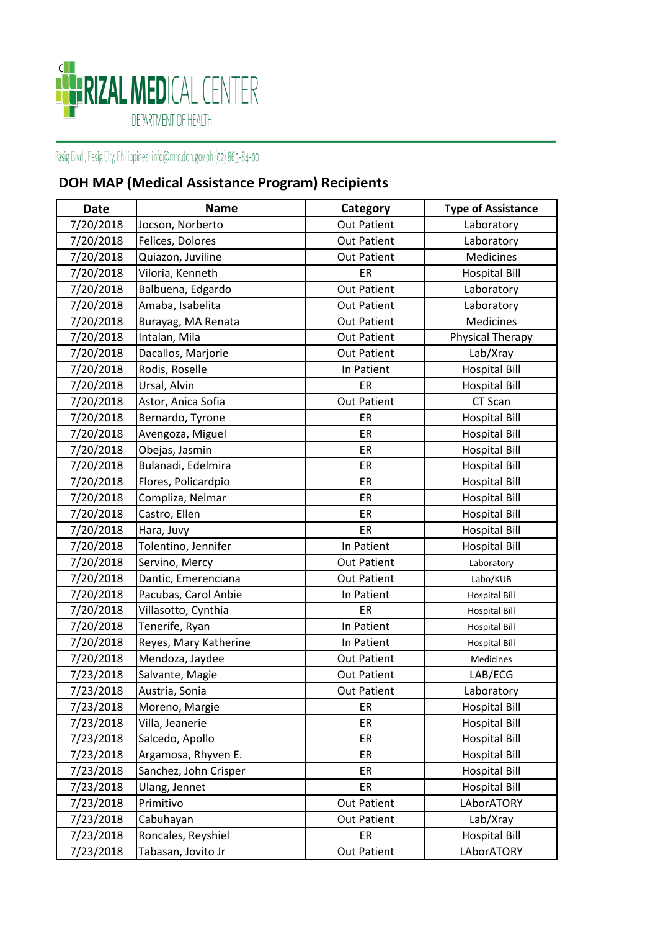

## Pasig Blvd., Pasig City, Philippines info@rmc.doh.gov.ph (02) 865-84-00

## **DOH MAP (Medical Assistance Program) Recipients**

| <b>Date</b> | <b>Name</b>           | Category           | <b>Type of Assistance</b> |
|-------------|-----------------------|--------------------|---------------------------|
| 7/20/2018   | Jocson, Norberto      | <b>Out Patient</b> | Laboratory                |
| 7/20/2018   | Felices, Dolores      | <b>Out Patient</b> | Laboratory                |
| 7/20/2018   | Quiazon, Juviline     | <b>Out Patient</b> | Medicines                 |
| 7/20/2018   | Viloria, Kenneth      | ER                 | <b>Hospital Bill</b>      |
| 7/20/2018   | Balbuena, Edgardo     | <b>Out Patient</b> | Laboratory                |
| 7/20/2018   | Amaba, Isabelita      | <b>Out Patient</b> | Laboratory                |
| 7/20/2018   | Burayag, MA Renata    | <b>Out Patient</b> | Medicines                 |
| 7/20/2018   | Intalan, Mila         | <b>Out Patient</b> | Physical Therapy          |
| 7/20/2018   | Dacallos, Marjorie    | <b>Out Patient</b> | Lab/Xray                  |
| 7/20/2018   | Rodis, Roselle        | In Patient         | <b>Hospital Bill</b>      |
| 7/20/2018   | Ursal, Alvin          | ER                 | <b>Hospital Bill</b>      |
| 7/20/2018   | Astor, Anica Sofia    | <b>Out Patient</b> | CT Scan                   |
| 7/20/2018   | Bernardo, Tyrone      | ER                 | <b>Hospital Bill</b>      |
| 7/20/2018   | Avengoza, Miguel      | ER                 | <b>Hospital Bill</b>      |
| 7/20/2018   | Obejas, Jasmin        | ER                 | <b>Hospital Bill</b>      |
| 7/20/2018   | Bulanadi, Edelmira    | ER                 | <b>Hospital Bill</b>      |
| 7/20/2018   | Flores, Policardpio   | ER                 | <b>Hospital Bill</b>      |
| 7/20/2018   | Compliza, Nelmar      | ER                 | <b>Hospital Bill</b>      |
| 7/20/2018   | Castro, Ellen         | ER                 | <b>Hospital Bill</b>      |
| 7/20/2018   | Hara, Juvy            | ER                 | <b>Hospital Bill</b>      |
| 7/20/2018   | Tolentino, Jennifer   | In Patient         | <b>Hospital Bill</b>      |
| 7/20/2018   | Servino, Mercy        | <b>Out Patient</b> | Laboratory                |
| 7/20/2018   | Dantic, Emerenciana   | <b>Out Patient</b> | Labo/KUB                  |
| 7/20/2018   | Pacubas, Carol Anbie  | In Patient         | <b>Hospital Bill</b>      |
| 7/20/2018   | Villasotto, Cynthia   | ER                 | <b>Hospital Bill</b>      |
| 7/20/2018   | Tenerife, Ryan        | In Patient         | <b>Hospital Bill</b>      |
| 7/20/2018   | Reyes, Mary Katherine | In Patient         | <b>Hospital Bill</b>      |
| 7/20/2018   | Mendoza, Jaydee       | <b>Out Patient</b> | Medicines                 |
| 7/23/2018   | Salvante, Magie       | <b>Out Patient</b> | LAB/ECG                   |
| 7/23/2018   | Austria, Sonia        | <b>Out Patient</b> | Laboratory                |
| 7/23/2018   | Moreno, Margie        | ER                 | <b>Hospital Bill</b>      |
| 7/23/2018   | Villa, Jeanerie       | ER                 | <b>Hospital Bill</b>      |
| 7/23/2018   | Salcedo, Apollo       | ER                 | <b>Hospital Bill</b>      |
| 7/23/2018   | Argamosa, Rhyven E.   | ER                 | <b>Hospital Bill</b>      |
| 7/23/2018   | Sanchez, John Crisper | ER                 | <b>Hospital Bill</b>      |
| 7/23/2018   | Ulang, Jennet         | ER                 | <b>Hospital Bill</b>      |
| 7/23/2018   | Primitivo             | <b>Out Patient</b> | LAborATORY                |
| 7/23/2018   | Cabuhayan             | <b>Out Patient</b> | Lab/Xray                  |
| 7/23/2018   | Roncales, Reyshiel    | ER                 | <b>Hospital Bill</b>      |
| 7/23/2018   | Tabasan, Jovito Jr    | <b>Out Patient</b> | LAborATORY                |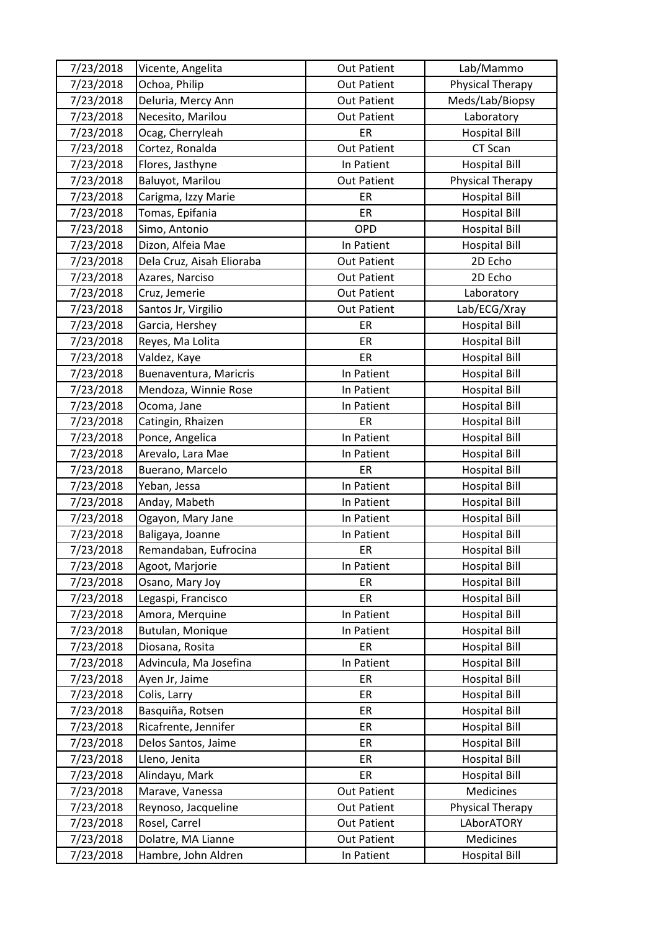| 7/23/2018 | Vicente, Angelita         | <b>Out Patient</b> | Lab/Mammo               |
|-----------|---------------------------|--------------------|-------------------------|
| 7/23/2018 | Ochoa, Philip             | <b>Out Patient</b> | <b>Physical Therapy</b> |
| 7/23/2018 | Deluria, Mercy Ann        | <b>Out Patient</b> | Meds/Lab/Biopsy         |
| 7/23/2018 | Necesito, Marilou         | <b>Out Patient</b> | Laboratory              |
| 7/23/2018 | Ocag, Cherryleah          | ER                 | <b>Hospital Bill</b>    |
| 7/23/2018 | Cortez, Ronalda           | <b>Out Patient</b> | CT Scan                 |
| 7/23/2018 | Flores, Jasthyne          | In Patient         | <b>Hospital Bill</b>    |
| 7/23/2018 | Baluyot, Marilou          | <b>Out Patient</b> | Physical Therapy        |
| 7/23/2018 | Carigma, Izzy Marie       | ER                 | <b>Hospital Bill</b>    |
| 7/23/2018 | Tomas, Epifania           | ER                 | <b>Hospital Bill</b>    |
| 7/23/2018 | Simo, Antonio             | OPD                | <b>Hospital Bill</b>    |
| 7/23/2018 | Dizon, Alfeia Mae         | In Patient         | <b>Hospital Bill</b>    |
| 7/23/2018 | Dela Cruz, Aisah Elioraba | <b>Out Patient</b> | 2D Echo                 |
| 7/23/2018 | Azares, Narciso           | <b>Out Patient</b> | 2D Echo                 |
| 7/23/2018 | Cruz, Jemerie             | <b>Out Patient</b> | Laboratory              |
| 7/23/2018 | Santos Jr, Virgilio       | <b>Out Patient</b> | Lab/ECG/Xray            |
| 7/23/2018 | Garcia, Hershey           | ER                 | <b>Hospital Bill</b>    |
| 7/23/2018 | Reyes, Ma Lolita          | ER                 | <b>Hospital Bill</b>    |
| 7/23/2018 | Valdez, Kaye              | ER                 | <b>Hospital Bill</b>    |
| 7/23/2018 | Buenaventura, Maricris    | In Patient         | <b>Hospital Bill</b>    |
| 7/23/2018 | Mendoza, Winnie Rose      | In Patient         | <b>Hospital Bill</b>    |
| 7/23/2018 | Ocoma, Jane               | In Patient         | <b>Hospital Bill</b>    |
| 7/23/2018 | Catingin, Rhaizen         | ER                 | <b>Hospital Bill</b>    |
| 7/23/2018 | Ponce, Angelica           | In Patient         | <b>Hospital Bill</b>    |
| 7/23/2018 | Arevalo, Lara Mae         | In Patient         | <b>Hospital Bill</b>    |
| 7/23/2018 | Buerano, Marcelo          | ER                 | <b>Hospital Bill</b>    |
| 7/23/2018 | Yeban, Jessa              | In Patient         | <b>Hospital Bill</b>    |
| 7/23/2018 | Anday, Mabeth             | In Patient         | <b>Hospital Bill</b>    |
| 7/23/2018 | Ogayon, Mary Jane         | In Patient         | <b>Hospital Bill</b>    |
| 7/23/2018 | Baligaya, Joanne          | In Patient         | <b>Hospital Bill</b>    |
| 7/23/2018 | Remandaban, Eufrocina     | ER                 | <b>Hospital Bill</b>    |
| 7/23/2018 | Agoot, Marjorie           | In Patient         | <b>Hospital Bill</b>    |
| 7/23/2018 | Osano, Mary Joy           | ER                 | <b>Hospital Bill</b>    |
| 7/23/2018 | Legaspi, Francisco        | ER                 | <b>Hospital Bill</b>    |
| 7/23/2018 | Amora, Merquine           | In Patient         | <b>Hospital Bill</b>    |
| 7/23/2018 | Butulan, Monique          | In Patient         | <b>Hospital Bill</b>    |
| 7/23/2018 | Diosana, Rosita           | ER                 | <b>Hospital Bill</b>    |
| 7/23/2018 | Advincula, Ma Josefina    | In Patient         | <b>Hospital Bill</b>    |
| 7/23/2018 | Ayen Jr, Jaime            | ER                 | <b>Hospital Bill</b>    |
| 7/23/2018 | Colis, Larry              | ER                 | <b>Hospital Bill</b>    |
| 7/23/2018 | Basquiña, Rotsen          | ER                 | <b>Hospital Bill</b>    |
| 7/23/2018 | Ricafrente, Jennifer      | ER                 | <b>Hospital Bill</b>    |
| 7/23/2018 | Delos Santos, Jaime       | ER                 | <b>Hospital Bill</b>    |
| 7/23/2018 | Lleno, Jenita             | ER                 | <b>Hospital Bill</b>    |
| 7/23/2018 | Alindayu, Mark            | ER                 | <b>Hospital Bill</b>    |
| 7/23/2018 | Marave, Vanessa           | <b>Out Patient</b> | Medicines               |
| 7/23/2018 | Reynoso, Jacqueline       | <b>Out Patient</b> | Physical Therapy        |
| 7/23/2018 | Rosel, Carrel             | <b>Out Patient</b> | LAborATORY              |
| 7/23/2018 | Dolatre, MA Lianne        | <b>Out Patient</b> | Medicines               |
| 7/23/2018 | Hambre, John Aldren       | In Patient         | <b>Hospital Bill</b>    |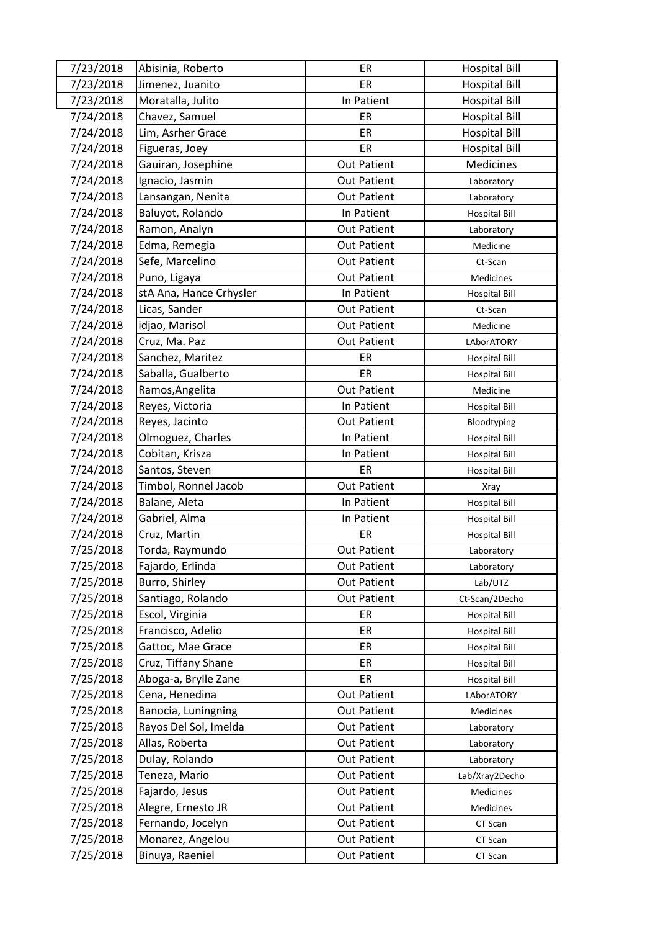| 7/23/2018 | Abisinia, Roberto       | ER                 | <b>Hospital Bill</b> |
|-----------|-------------------------|--------------------|----------------------|
| 7/23/2018 | Jimenez, Juanito        | ER                 | <b>Hospital Bill</b> |
| 7/23/2018 | Moratalla, Julito       | In Patient         | <b>Hospital Bill</b> |
| 7/24/2018 | Chavez, Samuel          | ER                 | <b>Hospital Bill</b> |
| 7/24/2018 | Lim, Asrher Grace       | ER                 | <b>Hospital Bill</b> |
| 7/24/2018 | Figueras, Joey          | ER                 | <b>Hospital Bill</b> |
| 7/24/2018 | Gauiran, Josephine      | <b>Out Patient</b> | Medicines            |
| 7/24/2018 | Ignacio, Jasmin         | <b>Out Patient</b> | Laboratory           |
| 7/24/2018 | Lansangan, Nenita       | <b>Out Patient</b> | Laboratory           |
| 7/24/2018 | Baluyot, Rolando        | In Patient         | <b>Hospital Bill</b> |
| 7/24/2018 | Ramon, Analyn           | <b>Out Patient</b> | Laboratory           |
| 7/24/2018 | Edma, Remegia           | <b>Out Patient</b> | Medicine             |
| 7/24/2018 | Sefe, Marcelino         | <b>Out Patient</b> | Ct-Scan              |
| 7/24/2018 | Puno, Ligaya            | <b>Out Patient</b> | <b>Medicines</b>     |
| 7/24/2018 | stA Ana, Hance Crhysler | In Patient         | <b>Hospital Bill</b> |
| 7/24/2018 | Licas, Sander           | <b>Out Patient</b> | Ct-Scan              |
| 7/24/2018 | idjao, Marisol          | <b>Out Patient</b> | Medicine             |
| 7/24/2018 | Cruz, Ma. Paz           | <b>Out Patient</b> | LAborATORY           |
| 7/24/2018 | Sanchez, Maritez        | ER                 | <b>Hospital Bill</b> |
| 7/24/2018 | Saballa, Gualberto      | ER                 | <b>Hospital Bill</b> |
| 7/24/2018 | Ramos, Angelita         | <b>Out Patient</b> | Medicine             |
| 7/24/2018 | Reyes, Victoria         | In Patient         | <b>Hospital Bill</b> |
| 7/24/2018 | Reyes, Jacinto          | <b>Out Patient</b> | Bloodtyping          |
| 7/24/2018 | Olmoguez, Charles       | In Patient         | <b>Hospital Bill</b> |
| 7/24/2018 | Cobitan, Krisza         | In Patient         | <b>Hospital Bill</b> |
| 7/24/2018 | Santos, Steven          | ER                 | <b>Hospital Bill</b> |
| 7/24/2018 | Timbol, Ronnel Jacob    | <b>Out Patient</b> | Xray                 |
| 7/24/2018 | Balane, Aleta           | In Patient         | <b>Hospital Bill</b> |
| 7/24/2018 | Gabriel, Alma           | In Patient         | <b>Hospital Bill</b> |
| 7/24/2018 | Cruz, Martin            | ER                 | <b>Hospital Bill</b> |
| 7/25/2018 | Torda, Raymundo         | <b>Out Patient</b> | Laboratory           |
| 7/25/2018 | Fajardo, Erlinda        | <b>Out Patient</b> | Laboratory           |
| 7/25/2018 | Burro, Shirley          | <b>Out Patient</b> | Lab/UTZ              |
| 7/25/2018 | Santiago, Rolando       | <b>Out Patient</b> | Ct-Scan/2Decho       |
| 7/25/2018 | Escol, Virginia         | ER                 | <b>Hospital Bill</b> |
| 7/25/2018 | Francisco, Adelio       | ER                 | <b>Hospital Bill</b> |
| 7/25/2018 | Gattoc, Mae Grace       | ER                 | <b>Hospital Bill</b> |
| 7/25/2018 | Cruz, Tiffany Shane     | ER                 | <b>Hospital Bill</b> |
| 7/25/2018 | Aboga-a, Brylle Zane    | ER                 | <b>Hospital Bill</b> |
| 7/25/2018 | Cena, Henedina          | <b>Out Patient</b> | LAborATORY           |
| 7/25/2018 | Banocia, Luningning     | <b>Out Patient</b> | Medicines            |
| 7/25/2018 | Rayos Del Sol, Imelda   | <b>Out Patient</b> | Laboratory           |
| 7/25/2018 | Allas, Roberta          | <b>Out Patient</b> | Laboratory           |
| 7/25/2018 | Dulay, Rolando          | <b>Out Patient</b> | Laboratory           |
| 7/25/2018 | Teneza, Mario           | <b>Out Patient</b> | Lab/Xray2Decho       |
| 7/25/2018 | Fajardo, Jesus          | <b>Out Patient</b> | Medicines            |
| 7/25/2018 | Alegre, Ernesto JR      | <b>Out Patient</b> | Medicines            |
| 7/25/2018 | Fernando, Jocelyn       | <b>Out Patient</b> | CT Scan              |
| 7/25/2018 | Monarez, Angelou        | <b>Out Patient</b> | CT Scan              |
| 7/25/2018 | Binuya, Raeniel         | <b>Out Patient</b> | CT Scan              |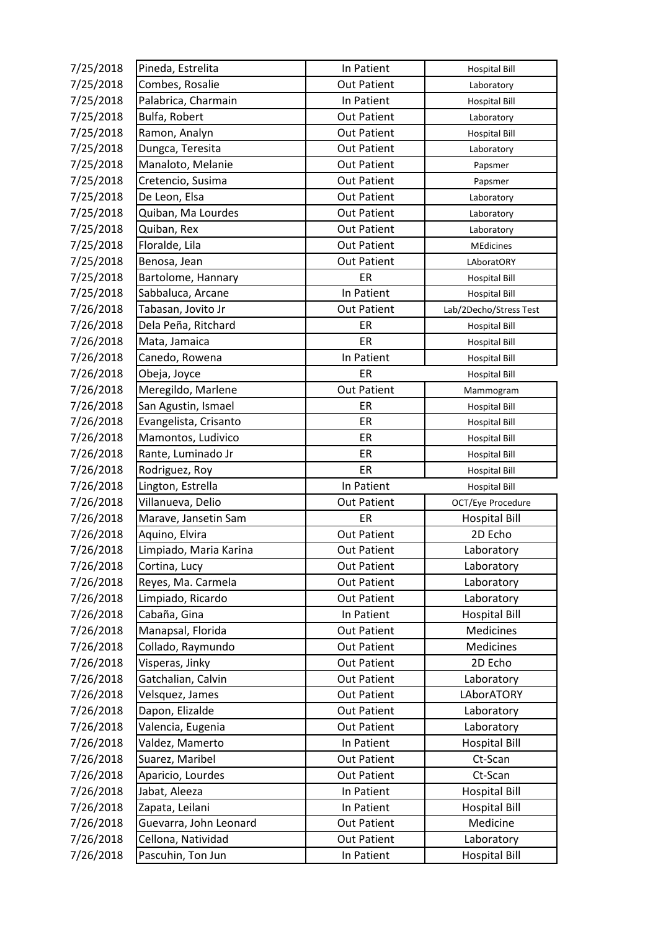| 7/25/2018 | Pineda, Estrelita      | In Patient         | <b>Hospital Bill</b>   |
|-----------|------------------------|--------------------|------------------------|
| 7/25/2018 | Combes, Rosalie        | <b>Out Patient</b> | Laboratory             |
| 7/25/2018 | Palabrica, Charmain    | In Patient         | <b>Hospital Bill</b>   |
| 7/25/2018 | Bulfa, Robert          | <b>Out Patient</b> | Laboratory             |
| 7/25/2018 | Ramon, Analyn          | <b>Out Patient</b> | <b>Hospital Bill</b>   |
| 7/25/2018 | Dungca, Teresita       | <b>Out Patient</b> | Laboratory             |
| 7/25/2018 | Manaloto, Melanie      | <b>Out Patient</b> | Papsmer                |
| 7/25/2018 | Cretencio, Susima      | <b>Out Patient</b> | Papsmer                |
| 7/25/2018 | De Leon, Elsa          | <b>Out Patient</b> | Laboratory             |
| 7/25/2018 | Quiban, Ma Lourdes     | <b>Out Patient</b> | Laboratory             |
| 7/25/2018 | Quiban, Rex            | <b>Out Patient</b> | Laboratory             |
| 7/25/2018 | Floralde, Lila         | <b>Out Patient</b> | <b>MEdicines</b>       |
| 7/25/2018 | Benosa, Jean           | <b>Out Patient</b> | LAboratORY             |
| 7/25/2018 | Bartolome, Hannary     | ER                 | <b>Hospital Bill</b>   |
| 7/25/2018 | Sabbaluca, Arcane      | In Patient         | <b>Hospital Bill</b>   |
| 7/26/2018 | Tabasan, Jovito Jr     | <b>Out Patient</b> | Lab/2Decho/Stress Test |
| 7/26/2018 | Dela Peña, Ritchard    | ER                 | <b>Hospital Bill</b>   |
| 7/26/2018 | Mata, Jamaica          | ER                 | <b>Hospital Bill</b>   |
| 7/26/2018 | Canedo, Rowena         | In Patient         | <b>Hospital Bill</b>   |
| 7/26/2018 | Obeja, Joyce           | ER                 | <b>Hospital Bill</b>   |
| 7/26/2018 | Meregildo, Marlene     | <b>Out Patient</b> | Mammogram              |
| 7/26/2018 | San Agustin, Ismael    | ER                 | <b>Hospital Bill</b>   |
| 7/26/2018 | Evangelista, Crisanto  | ER                 | <b>Hospital Bill</b>   |
| 7/26/2018 | Mamontos, Ludivico     | ER                 | <b>Hospital Bill</b>   |
| 7/26/2018 | Rante, Luminado Jr     | ER                 | <b>Hospital Bill</b>   |
| 7/26/2018 | Rodriguez, Roy         | ER                 | <b>Hospital Bill</b>   |
| 7/26/2018 | Lington, Estrella      | In Patient         | <b>Hospital Bill</b>   |
| 7/26/2018 | Villanueva, Delio      | <b>Out Patient</b> | OCT/Eye Procedure      |
| 7/26/2018 | Marave, Jansetin Sam   | ER                 | <b>Hospital Bill</b>   |
| 7/26/2018 | Aquino, Elvira         | <b>Out Patient</b> | 2D Echo                |
| 7/26/2018 | Limpiado, Maria Karina | <b>Out Patient</b> | Laboratory             |
| 7/26/2018 | Cortina, Lucy          | <b>Out Patient</b> | Laboratory             |
| 7/26/2018 | Reyes, Ma. Carmela     | <b>Out Patient</b> | Laboratory             |
| 7/26/2018 | Limpiado, Ricardo      | <b>Out Patient</b> | Laboratory             |
| 7/26/2018 | Cabaña, Gina           | In Patient         | <b>Hospital Bill</b>   |
| 7/26/2018 | Manapsal, Florida      | <b>Out Patient</b> | Medicines              |
| 7/26/2018 | Collado, Raymundo      | <b>Out Patient</b> | Medicines              |
| 7/26/2018 | Visperas, Jinky        | <b>Out Patient</b> | 2D Echo                |
| 7/26/2018 | Gatchalian, Calvin     | <b>Out Patient</b> | Laboratory             |
| 7/26/2018 | Velsquez, James        | <b>Out Patient</b> | LAborATORY             |
| 7/26/2018 | Dapon, Elizalde        | <b>Out Patient</b> | Laboratory             |
| 7/26/2018 | Valencia, Eugenia      | <b>Out Patient</b> | Laboratory             |
| 7/26/2018 | Valdez, Mamerto        | In Patient         | <b>Hospital Bill</b>   |
| 7/26/2018 | Suarez, Maribel        | <b>Out Patient</b> | Ct-Scan                |
| 7/26/2018 | Aparicio, Lourdes      | <b>Out Patient</b> | Ct-Scan                |
| 7/26/2018 | Jabat, Aleeza          | In Patient         | <b>Hospital Bill</b>   |
| 7/26/2018 | Zapata, Leilani        | In Patient         | <b>Hospital Bill</b>   |
| 7/26/2018 | Guevarra, John Leonard | <b>Out Patient</b> | Medicine               |
| 7/26/2018 | Cellona, Natividad     | <b>Out Patient</b> | Laboratory             |
| 7/26/2018 | Pascuhin, Ton Jun      | In Patient         | <b>Hospital Bill</b>   |
|           |                        |                    |                        |